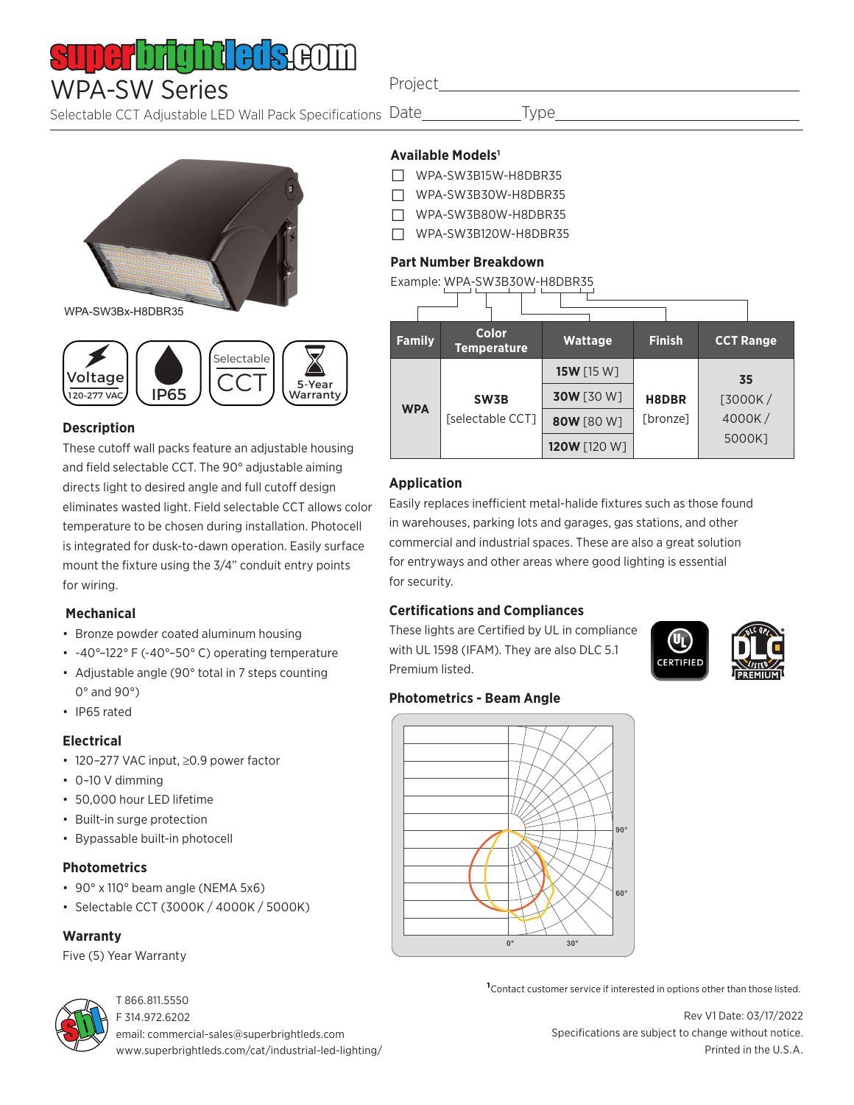# 1 | | | | | **|**

## WPA-SW Series

Selectable CCT Adjustable LED Wall Pack Specifications Date

Project

**Type** 

# WPA-SW3Bx-H8DBR35



### **Description**

These cutoff wall packs feature an adjustable housing and field selectable CCT. The 90° adjustable aiming directs light to desired angle and full cutoff design eliminates wasted light. Field selectable CCT allows color temperature to be chosen during installation. Photocell is integrated for dusk-to-dawn operation. Easily surface mount the fixture using the 3/4" conduit entry points for wiring.

### **Mechanical**

- Bronze powder coated aluminum housing
- -40°–122° F (-40°–50° C) operating temperature
- Adjustable angle (90° total in 7 steps counting 0° and 90°)
- IP65 rated

### **Electrical**

- 120–277 VAC input, ≥0.9 power factor
- 0–10 V dimming
- 50,000 hour LED lifetime
- Built-in surge protection
- Bypassable built-in photocell

### **Photometrics**

- 90° x 110° beam angle (NEMA 5x6)
- Selectable CCT (3000K / 4000K / 5000K)

### **Warranty**

Five (5) Year Warranty



### T 866.811.5550

F 314.972.6202 email: commercial-sales@superbrightleds.com www.superbrightleds.com/cat/industrial-led-lighting/

### **Available Models1**

- □ WPA-SW3B15W-H8DBR35
- □ WPA-SW3B30W-H8DBR35
- □ WPA-SW3B80W-H8DBR35
- □ WPA-SW3B120W-H8DBR35

### **Part Number Breakdown**

### Example: WPA-SW3B30W-H8DBR35

| <b>Family</b> | <b>Color</b><br><b>Temperature</b> | <b>Wattage</b>    | <b>Finish</b> | <b>CCT Range</b> |  |  |  |
|---------------|------------------------------------|-------------------|---------------|------------------|--|--|--|
| <b>WPA</b>    | SW3B<br>[selectable CCT]           | <b>15W</b> [15 W] |               | 35               |  |  |  |
|               |                                    | <b>30W</b> [30 W] | H8DBR         | $[3000K/$        |  |  |  |
|               |                                    | 80W [80 W]        | [bronze]      | 4000K/           |  |  |  |
|               |                                    | 120W [120 W]      |               | 5000K1           |  |  |  |

### **Application**

Easily replaces inefficient metal-halide fixtures such as those found in warehouses, parking lots and garages, gas stations, and other commercial and industrial spaces. These are also a great solution for entryways and other areas where good lighting is essential for security.

### **Certifications and Compliances**

These lights are Certified by UL in compliance with UL 1598 (IFAM). They are also DLC 5.1 Premium listed.



### **Photometrics - Beam Angle**



**1**Contact customer service if interested in options other than those listed.

Rev V1 Date: 03/17/2022 Specifications are subject to change without notice. Printed in the U.S.A.